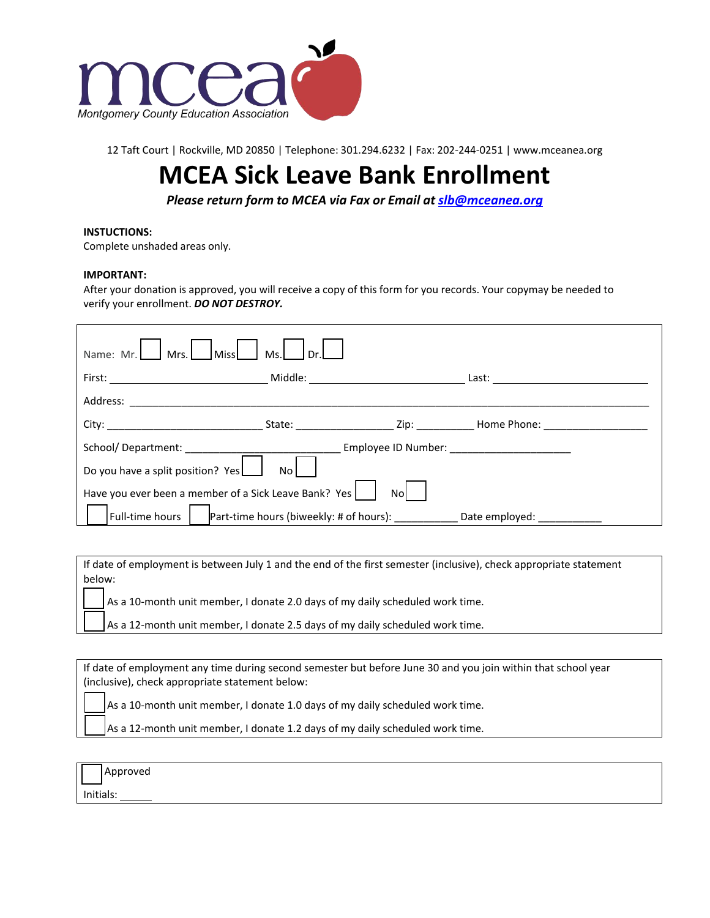

12 Taft Court | Rockville, MD 20850 | Telephone: 301.294.6232 | Fax: 202-244-0251 | [www.mceanea.org](http://www.mceanea.org/)

## **MCEA Sick Leave Bank Enrollment**

*Please return form to MCEA via Fax or Email at [slb@mceanea.org](mailto:slb@mceanea.org)*

## **INSTUCTIONS:**

Complete unshaded areas only.

## **IMPORTANT:**

After your donation is approved, you will receive a copy of this form for you records. Your copymay be needed to verify your enrollment. *DO NOT DESTROY.*

| Name: Mr.<br>Ms.L<br>Miss<br>$\rfloor$ Mrs.<br>Dr.l                                                                                                                                                                            |  |  |                                                                                                                                                                                                                               |  |
|--------------------------------------------------------------------------------------------------------------------------------------------------------------------------------------------------------------------------------|--|--|-------------------------------------------------------------------------------------------------------------------------------------------------------------------------------------------------------------------------------|--|
|                                                                                                                                                                                                                                |  |  |                                                                                                                                                                                                                               |  |
| Address: Analysis and the contract of the contract of the contract of the contract of the contract of the contract of the contract of the contract of the contract of the contract of the contract of the contract of the cont |  |  |                                                                                                                                                                                                                               |  |
|                                                                                                                                                                                                                                |  |  | City: City: City: City: City: City: City: City: City: City: City: City: City: City: City: City: City: City: City: City: City: City: City: City: City: City: City: City: City: City: City: City: City: City: City: City: City: |  |
|                                                                                                                                                                                                                                |  |  | Employee ID Number: Note that the state of the state of the state of the state of the state of the state of the                                                                                                               |  |
| Do you have a split position? Yes<br>No l                                                                                                                                                                                      |  |  |                                                                                                                                                                                                                               |  |
| Have you ever been a member of a Sick Leave Bank? Yes<br>Nol                                                                                                                                                                   |  |  |                                                                                                                                                                                                                               |  |
| Full-time hours                                                                                                                                                                                                                |  |  | Part-time hours (biweekly: # of hours): Date employed:                                                                                                                                                                        |  |

If date of employment is between July 1 and the end of the first semester (inclusive), check appropriate statement below:

As a 10-month unit member, I donate 2.0 days of my daily scheduled work time.

As a 12-month unit member, I donate 2.5 days of my daily scheduled work time.

If date of employment any time during second semester but before June 30 and you join within that school year (inclusive), check appropriate statement below:

As a 10-month unit member, I donate 1.0 days of my daily scheduled work time.

As a 12-month unit member, I donate 1.2 days of my daily scheduled work time.

|  | Approved |
|--|----------|
|--|----------|

Initials: